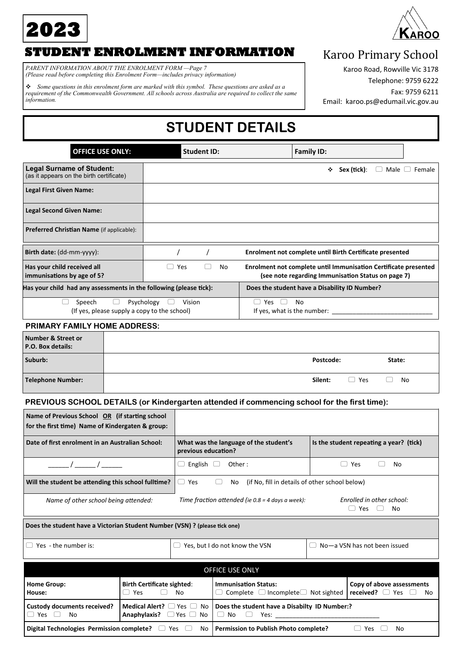



### **STUDENT ENROLMENT INFORMATION**

*PARENT INFORMATION ABOUT THE ENROLMENT FORM —Page 7 (Please read before completing this Enrolment Form—includes privacy information)*

❖ *Some questions in this enrolment form are marked with this symbol. These questions are asked as a requirement of the Commonwealth Government. All schools across Australia are required to collect the same information.*

### Karoo Primary School

Karoo Road, Rowville Vic 3178

Telephone: 9759 6222

Fax: 9759 6211

Email: karoo.ps@edumail.vic.gov.au

# **STUDENT DETAILS**

| <b>OFFICE USE ONLY:</b>                                                      | <b>Student ID:</b>   | <b>Family ID:</b>                                                                                                     |                  |
|------------------------------------------------------------------------------|----------------------|-----------------------------------------------------------------------------------------------------------------------|------------------|
| <b>Legal Surname of Student:</b><br>(as it appears on the birth certificate) |                      | Sex (tick):<br>Male (<br>❖                                                                                            | Female<br>$\Box$ |
| <b>Legal First Given Name:</b>                                               |                      |                                                                                                                       |                  |
| <b>Legal Second Given Name:</b>                                              |                      |                                                                                                                       |                  |
| Preferred Christian Name (if applicable):                                    |                      |                                                                                                                       |                  |
| Birth date: (dd-mm-yyyy):                                                    |                      | Enrolment not complete until Birth Certificate presented                                                              |                  |
| Has your child received all<br>immunisations by age of 5?                    | Yes<br>No            | Enrolment not complete until Immunisation Certificate presented<br>(see note regarding Immunisation Status on page 7) |                  |
| Has your child had any assessments in the following (please tick):           |                      | Does the student have a Disability ID Number?                                                                         |                  |
| Speech<br>(If yes, please supply a copy to the school)                       | Psychology<br>Vision | No<br>Yes<br>If yes, what is the number:                                                                              |                  |
| <b>PRIMARY FAMILY HOME ADDRESS:</b>                                          |                      |                                                                                                                       |                  |

## **Number & Street or P.O. Box details: Suburb: Postcode: State: Telephone Number:**  $\Box$  Yes  $\Box$  No.

### **PREVIOUS SCHOOL DETAILS (or Kindergarten attended if commencing school for the first time):**

| Name of Previous School OR (if starting school<br>for the first time) Name of Kindergaten & group: |                                                            |                     |                                |                                                                              |  |                                                          |
|----------------------------------------------------------------------------------------------------|------------------------------------------------------------|---------------------|--------------------------------|------------------------------------------------------------------------------|--|----------------------------------------------------------|
| Date of first enrolment in an Australian School:                                                   |                                                            | previous education? |                                | What was the language of the student's                                       |  | Is the student repeating a year? (tick)                  |
|                                                                                                    |                                                            | English<br>$(\ )$   | Other:                         |                                                                              |  | Yes<br>No                                                |
| Will the student be attending this school fulltime?                                                |                                                            | Yes<br>U            | No.                            | (if No, fill in details of other school below)                               |  |                                                          |
| Name of other school being attended:                                                               |                                                            |                     |                                | Time fraction attended (ie $0.8$ = 4 days a week):                           |  | Enrolled in other school:<br>Yes<br>No                   |
| Does the student have a Victorian Student Number (VSN) ? (please tick one)                         |                                                            |                     |                                |                                                                              |  |                                                          |
| Yes - the number is:                                                                               |                                                            |                     | Yes, but I do not know the VSN |                                                                              |  | $\Box$ No-a VSN has not been issued                      |
|                                                                                                    | OFFICE USE ONLY                                            |                     |                                |                                                                              |  |                                                          |
| <b>Home Group:</b><br>House:                                                                       | <b>Birth Certificate sighted:</b><br>Yes<br>$\Box$         | No                  |                                | <b>Immunisation Status:</b><br>Complete $\Box$ Incomplete $\Box$ Not sighted |  | Copy of above assessments<br>received? $\Box$ Yes<br>No. |
| <b>Custody documents received?</b><br>Yes<br>$\Box$<br>No.                                         | <b>Medical Alert?</b> $\Box$ Yes $\Box$ No<br>Anaphylaxis? | $Yes \ \Box$ No     | $\Box$ No                      | Does the student have a Disabilty ID Number:?<br>Yes:                        |  |                                                          |

**Digital Technologies Permission complete?** □ Yes □ No | Permission to Publish Photo complete? □ Yes □ No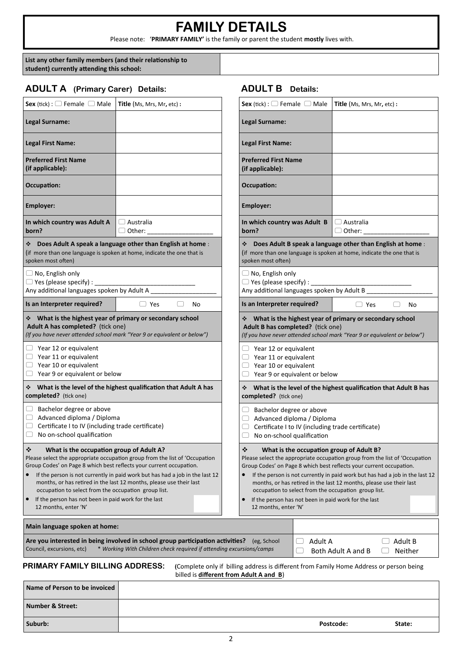## **FAMILY DETAILS**

Please note: '**PRIMARY FAMILY'** is the family or parent the student **mostly** lives with.

**List any other family members (and their relationship to student) currently attending this school:**

### **ADULT A (Primary Carer) Details: ADULT B Details:**

| Sex (tick) : $\Box$ Female $\Box$ Male   Title (Ms, Mrs, Mr, etc) :                                                                                                                                                                                                       |                                                                                                                                                                                                                                    | <b>Sex</b> (tick) : $\Box$ Female $\Box$ Male   Title (Ms, Mrs, Mr, etc) :                                                                                                                                                                                                                            |                                                                                                                                                                                                                               |
|---------------------------------------------------------------------------------------------------------------------------------------------------------------------------------------------------------------------------------------------------------------------------|------------------------------------------------------------------------------------------------------------------------------------------------------------------------------------------------------------------------------------|-------------------------------------------------------------------------------------------------------------------------------------------------------------------------------------------------------------------------------------------------------------------------------------------------------|-------------------------------------------------------------------------------------------------------------------------------------------------------------------------------------------------------------------------------|
| <b>Legal Surname:</b>                                                                                                                                                                                                                                                     |                                                                                                                                                                                                                                    | <b>Legal Surname:</b>                                                                                                                                                                                                                                                                                 |                                                                                                                                                                                                                               |
| <b>Legal First Name:</b>                                                                                                                                                                                                                                                  |                                                                                                                                                                                                                                    | <b>Legal First Name:</b>                                                                                                                                                                                                                                                                              |                                                                                                                                                                                                                               |
| <b>Preferred First Name</b><br>(if applicable):                                                                                                                                                                                                                           |                                                                                                                                                                                                                                    | <b>Preferred First Name</b><br>(if applicable):                                                                                                                                                                                                                                                       |                                                                                                                                                                                                                               |
| <b>Occupation:</b>                                                                                                                                                                                                                                                        |                                                                                                                                                                                                                                    | Occupation:                                                                                                                                                                                                                                                                                           |                                                                                                                                                                                                                               |
| <b>Employer:</b>                                                                                                                                                                                                                                                          |                                                                                                                                                                                                                                    | Employer:                                                                                                                                                                                                                                                                                             |                                                                                                                                                                                                                               |
| In which country was Adult A<br>born?                                                                                                                                                                                                                                     | $\Box$ Australia                                                                                                                                                                                                                   | In which country was Adult B<br>born?                                                                                                                                                                                                                                                                 | $\Box$ Australia<br>$\Box$ Other:                                                                                                                                                                                             |
| (if more than one language is spoken at home, indicate the one that is<br>spoken most often)                                                                                                                                                                              | * Does Adult A speak a language other than English at home:                                                                                                                                                                        | (if more than one language is spoken at home, indicate the one that is<br>spoken most often)                                                                                                                                                                                                          | Does Adult B speak a language other than English at home                                                                                                                                                                      |
| $\Box$ No, English only<br>$\Box$ Yes (please specify) : _<br>Any additional languages spoken by Adult A                                                                                                                                                                  |                                                                                                                                                                                                                                    | $\Box$ No, English only<br>Any additional languages spoken by Adult B                                                                                                                                                                                                                                 |                                                                                                                                                                                                                               |
| Is an Interpreter required?                                                                                                                                                                                                                                               | $\Box$ Yes<br>No                                                                                                                                                                                                                   | Is an Interpreter required?                                                                                                                                                                                                                                                                           | $\Box$ Yes<br>No                                                                                                                                                                                                              |
| ❖ What is the highest year of primary or secondary school<br>Adult A has completed? (tick one)                                                                                                                                                                            |                                                                                                                                                                                                                                    | ❖ What is the highest year of primary or secondary school<br>Adult B has completed? (tick one)                                                                                                                                                                                                        |                                                                                                                                                                                                                               |
| $\Box$ Year 12 or equivalent<br>$\Box$ Year 11 or equivalent<br>$\Box$ Year 10 or equivalent<br>$\Box$ Year 9 or equivalent or below                                                                                                                                      | (If you have never attended school mark "Year 9 or equivalent or below")                                                                                                                                                           | $\Box$ Year 12 or equivalent<br>$\Box$ Year 11 or equivalent<br>$\Box$ Year 10 or equivalent<br>$\Box$ Year 9 or equivalent or below                                                                                                                                                                  |                                                                                                                                                                                                                               |
| completed? (tick one)                                                                                                                                                                                                                                                     | ❖ What is the level of the highest qualification that Adult A has                                                                                                                                                                  | completed? (tick one)                                                                                                                                                                                                                                                                                 | (If you have never attended school mark "Year 9 or equivalent or below")<br>❖ What is the level of the highest qualification that Adult B ha                                                                                  |
| $\Box$ Bachelor degree or above<br>Advanced diploma / Diploma<br>$\Box$<br>Certificate I to IV (including trade certificate)<br>$\Box$<br>No on-school qualification<br>$\Box$                                                                                            |                                                                                                                                                                                                                                    | $\Box$ Bachelor degree or above<br>Advanced diploma / Diploma<br>Certificate I to IV (including trade certificate)<br>$\qquad \qquad \Box$<br>No on-school qualification<br>□                                                                                                                         |                                                                                                                                                                                                                               |
| ❖<br>What is the occupation group of Adult A?<br>Group Codes' on Page 8 which best reflects your current occupation.<br>occupation to select from the occupation group list.<br>If the person has not been in paid work for the last<br>$\bullet$<br>12 months, enter 'N' | Please select the appropriate occupation group from the list of 'Occupation<br>If the person is not currently in paid work but has had a job in the last 12<br>months, or has retired in the last 12 months, please use their last | $\bullet^{\bullet}_{\bullet}$<br>What is the occupation group of Adult B?<br>Group Codes' on Page 8 which best reflects your current occupation.<br>occupation to select from the occupation group list.<br>If the person has not been in paid work for the last<br>$\bullet$<br>12 months, enter 'N' | Please select the appropriate occupation group from the list of 'Occupati<br>If the person is not currently in paid work but has had a job in the last<br>months, or has retired in the last 12 months, please use their last |
| Main language spoken at home:                                                                                                                                                                                                                                             |                                                                                                                                                                                                                                    |                                                                                                                                                                                                                                                                                                       |                                                                                                                                                                                                                               |

| <b>Sex</b> (tick) : $\Box$ Female $\Box$ Male                                                                                 | Title (Ms, Mrs, Mr, etc) :                                                                                                                                                                                                                                                                                                                                                                                                                                            |    |
|-------------------------------------------------------------------------------------------------------------------------------|-----------------------------------------------------------------------------------------------------------------------------------------------------------------------------------------------------------------------------------------------------------------------------------------------------------------------------------------------------------------------------------------------------------------------------------------------------------------------|----|
| Legal Surname:                                                                                                                |                                                                                                                                                                                                                                                                                                                                                                                                                                                                       |    |
| <b>Legal First Name:</b>                                                                                                      |                                                                                                                                                                                                                                                                                                                                                                                                                                                                       |    |
| <b>Preferred First Name</b><br>(if applicable):                                                                               |                                                                                                                                                                                                                                                                                                                                                                                                                                                                       |    |
| Occupation:                                                                                                                   |                                                                                                                                                                                                                                                                                                                                                                                                                                                                       |    |
| <b>Employer:</b>                                                                                                              |                                                                                                                                                                                                                                                                                                                                                                                                                                                                       |    |
| In which country was Adult B<br>born?                                                                                         | $\Box$ Australia<br>$\Box$ Other:                                                                                                                                                                                                                                                                                                                                                                                                                                     |    |
| ❖<br>spoken most often)                                                                                                       | Does Adult B speak a language other than English at home :<br>(if more than one language is spoken at home, indicate the one that is                                                                                                                                                                                                                                                                                                                                  |    |
| $\Box$ No, English only<br>$\Box$ Yes (please specify) :<br>Any additional languages spoken by Adult B                        |                                                                                                                                                                                                                                                                                                                                                                                                                                                                       |    |
| Is an Interpreter required?                                                                                                   | $\Box$ Yes                                                                                                                                                                                                                                                                                                                                                                                                                                                            | No |
| ❖<br>Adult B has completed? (tick one)                                                                                        | What is the highest year of primary or secondary school<br>(If you have never attended school mark "Year 9 or equivalent or below")                                                                                                                                                                                                                                                                                                                                   |    |
| Year 12 or equivalent<br>$\Box$ Year 11 or equivalent<br>$\Box$ Year 10 or equivalent<br>$\Box$ Year 9 or equivalent or below |                                                                                                                                                                                                                                                                                                                                                                                                                                                                       |    |
| ❖<br>completed? (tick one)                                                                                                    | What is the level of the highest qualification that Adult B has                                                                                                                                                                                                                                                                                                                                                                                                       |    |
| Bachelor degree or above<br>( 1<br>Advanced diploma / Diploma<br>υ<br>No on-school qualification                              | Certificate I to IV (including trade certificate)                                                                                                                                                                                                                                                                                                                                                                                                                     |    |
| ❖<br>c<br>12 months, enter 'N'                                                                                                | What is the occupation group of Adult B?<br>Please select the appropriate occupation group from the list of 'Occupation<br>Group Codes' on Page 8 which best reflects your current occupation.<br>If the person is not currently in paid work but has had a job in the last 12<br>months, or has retired in the last 12 months, please use their last<br>occupation to select from the occupation group list.<br>If the person has not been in paid work for the last |    |
|                                                                                                                               |                                                                                                                                                                                                                                                                                                                                                                                                                                                                       |    |

| <b>Number &amp; Street:</b> |           |        |
|-----------------------------|-----------|--------|
| Suburb:                     | Postcode: | State: |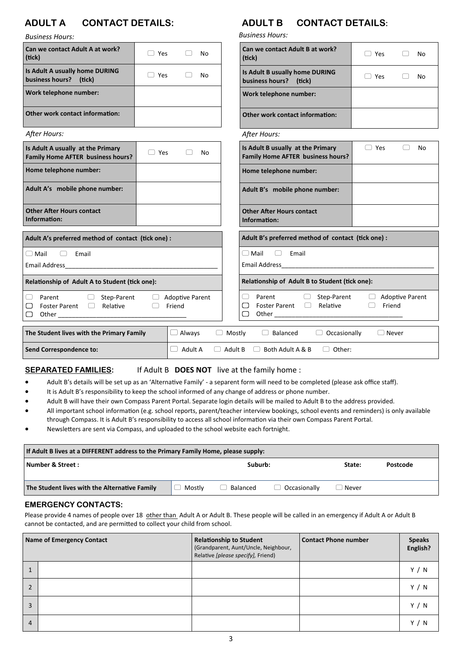### **ADULT A CONTACT DETAILS: ADULT B CONTACT DETAILS:**

*Business Hours:*

| Can we contact Adult A at work?                                        |            |                                  |    |                | Can we contact Adult B at work?                                                    |                                            |                        |
|------------------------------------------------------------------------|------------|----------------------------------|----|----------------|------------------------------------------------------------------------------------|--------------------------------------------|------------------------|
| (tick)                                                                 | $\Box$ Yes |                                  | No |                | (tick)                                                                             | $\Box$ Yes                                 | No                     |
| Is Adult A usually home DURING<br>business hours? (tick)               | $\Box$ Yes |                                  | No |                | Is Adult B usually home DURING<br>business hours? (tick)                           | Yes                                        | No                     |
| Work telephone number:                                                 |            |                                  |    |                | Work telephone number:                                                             |                                            |                        |
| <b>Other work contact information:</b>                                 |            |                                  |    |                | <b>Other work contact information:</b>                                             |                                            |                        |
| After Hours:                                                           |            |                                  |    |                | After Hours:                                                                       |                                            |                        |
| Is Adult A usually at the Primary<br>Family Home AFTER business hours? | $\Box$ Yes |                                  | No |                | Is Adult B usually at the Primary<br>Family Home AFTER business hours?             | $\Box$ Yes                                 | No                     |
| Home telephone number:                                                 |            |                                  |    |                | Home telephone number:                                                             |                                            |                        |
| Adult A's mobile phone number:                                         |            |                                  |    |                | Adult B's mobile phone number:                                                     |                                            |                        |
| <b>Other After Hours contact</b><br>Information:                       |            |                                  |    |                | <b>Other After Hours contact</b><br>Information:                                   |                                            |                        |
| Adult A's preferred method of contact (tick one) :                     |            |                                  |    |                | Adult B's preferred method of contact (tick one) :                                 |                                            |                        |
| $\Box$ Mail<br>Email<br>$\Box$                                         |            |                                  |    |                | $\Box$ Mail<br>Email<br>□                                                          |                                            |                        |
|                                                                        |            |                                  |    |                |                                                                                    |                                            |                        |
| Relationship of Adult A to Student (tick one):                         |            |                                  |    |                | Relationship of Adult B to Student (tick one):                                     |                                            |                        |
| Parent<br>Step-Parent<br>Foster Parent <sup>1</sup> Relative<br>乚<br>乚 |            | <b>Adoptive Parent</b><br>Friend |    |                | Parent<br>Step-Parent<br>□<br>$\Box$<br>Relative<br>Foster Parent $\Box$<br>▢<br>□ | $\left( \quad \right)$<br>Friend<br>$\Box$ | <b>Adoptive Parent</b> |
| The Student lives with the Primary Family                              |            | $\Box$ Always                    |    | $\Box$ Mostly  | $\Box$ Occasionally<br>$\Box$ Balanced                                             | $\Box$ Never                               |                        |
| Send Correspondence to:                                                |            | Adult A                          |    | $\Box$ Adult B | $\Box$ Other:<br>$\Box$ Both Adult A & B                                           |                                            |                        |

**SEPARATED FAMILIES:** If Adult B **DOES NOT** live at the family home :

- Adult B's details will be set up as an 'Alternative Family' a separent form will need to be completed (please ask office staff).
- It is Adult B's responsibility to keep the school informed of any change of address or phone number.
- Adult B will have their own Compass Parent Portal. Separate login details will be mailed to Adult B to the address provided.
- All important school information (e.g. school reports, parent/teacher interview bookings, school events and reminders) is only available through Compass. It is Adult B's responsibility to access all school information via their own Compass Parent Portal.
- Newsletters are sent via Compass, and uploaded to the school website each fortnight.

| If Adult B lives at a DIFFERENT address to the Primary Family Home, please supply: |        |          |                     |         |          |
|------------------------------------------------------------------------------------|--------|----------|---------------------|---------|----------|
| Number & Street :                                                                  |        | Suburb:  |                     | State:  | Postcode |
| The Student lives with the Alternative Family                                      | Mostlv | Balanced | $\Box$ Occasionally | ا Never |          |

### **EMERGENCY CONTACTS:**

Please provide 4 names of people over 18 other than Adult A or Adult B. These people will be called in an emergency if Adult A or Adult B cannot be contacted, and are permitted to collect your child from school.

|                | Name of Emergency Contact | <b>Relationship to Student</b><br>(Grandparent, Aunt/Uncle, Neighbour,<br>Relative [please specify], Friend) | <b>Contact Phone number</b> | <b>Speaks</b><br>English? |
|----------------|---------------------------|--------------------------------------------------------------------------------------------------------------|-----------------------------|---------------------------|
| 1              |                           |                                                                                                              |                             | Y / N                     |
| $\overline{2}$ |                           |                                                                                                              |                             | Y / N                     |
| 3              |                           |                                                                                                              |                             | Y / N                     |
| 4              |                           |                                                                                                              |                             | Y<br>N                    |

*Business Hours:*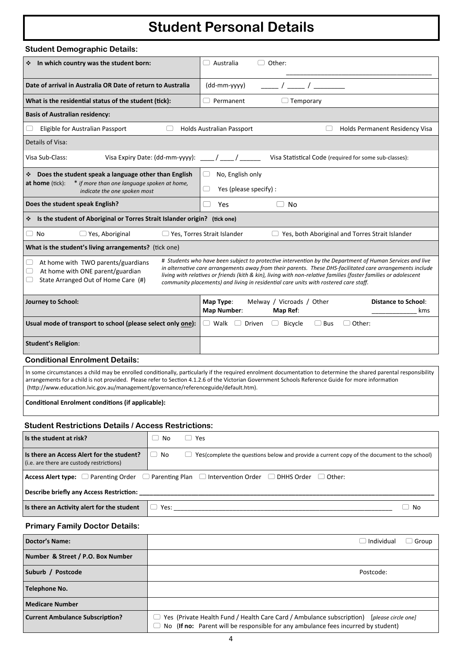# **Student Personal Details**

| <b>Student Demographic Details:</b>                                                                                                                           |                                        |                                                                                                                                                                                                                                                                                                                                                                                                                                  |
|---------------------------------------------------------------------------------------------------------------------------------------------------------------|----------------------------------------|----------------------------------------------------------------------------------------------------------------------------------------------------------------------------------------------------------------------------------------------------------------------------------------------------------------------------------------------------------------------------------------------------------------------------------|
| * In which country was the student born:                                                                                                                      |                                        | $\Box$ Other:<br>Australia                                                                                                                                                                                                                                                                                                                                                                                                       |
| Date of arrival in Australia OR Date of return to Australia                                                                                                   |                                        | $\sqrt{2}$<br>(dd-mm-yyyy)                                                                                                                                                                                                                                                                                                                                                                                                       |
| What is the residential status of the student (tick):                                                                                                         |                                        | $\Box$ Permanent<br>$\Box$ Temporary                                                                                                                                                                                                                                                                                                                                                                                             |
| <b>Basis of Australian residency:</b>                                                                                                                         |                                        |                                                                                                                                                                                                                                                                                                                                                                                                                                  |
| Eligible for Australian Passport                                                                                                                              | $\begin{array}{ccc} \end{array}$       | <b>Holds Australian Passport</b><br>Holds Permanent Residency Visa                                                                                                                                                                                                                                                                                                                                                               |
| Details of Visa:                                                                                                                                              |                                        |                                                                                                                                                                                                                                                                                                                                                                                                                                  |
| Visa Sub-Class:                                                                                                                                               | Visa Expiry Date: (dd-mm-yyyy):        | Visa Statistical Code (required for some sub-classes):<br>$\sqrt{2}$                                                                                                                                                                                                                                                                                                                                                             |
| Does the student speak a language other than English<br><b>at home</b> (tick):<br>* if more than one language spoken at home,<br>indicate the one spoken most |                                        | No, English only<br>Yes (please specify) :                                                                                                                                                                                                                                                                                                                                                                                       |
| Does the student speak English?                                                                                                                               |                                        | Yes<br>No                                                                                                                                                                                                                                                                                                                                                                                                                        |
| Is the student of Aboriginal or Torres Strait Islander origin? (tick one)<br>❖                                                                                |                                        |                                                                                                                                                                                                                                                                                                                                                                                                                                  |
| $\Box$ No<br>$\Box$ Yes, Aboriginal                                                                                                                           |                                        | □ Yes, Torres Strait Islander<br>$\Box$ Yes, both Aboriginal and Torres Strait Islander                                                                                                                                                                                                                                                                                                                                          |
| What is the student's living arrangements? (tick one)                                                                                                         |                                        |                                                                                                                                                                                                                                                                                                                                                                                                                                  |
| At home with TWO parents/guardians<br>◡<br>At home with ONE parent/guardian<br>State Arranged Out of Home Care (#)                                            |                                        | # Students who have been subject to protective intervention by the Department of Human Services and live<br>in alternative care arrangements away from their parents. These DHS-facilitated care arrangements include<br>living with relatives or friends (kith & kin), living with non-relative families (foster families or adolescent<br>community placements) and living in residential care units with rostered care staff. |
| Journey to School:                                                                                                                                            |                                        | Map Type:<br>Melway / Vicroads / Other<br><b>Distance to School:</b><br><b>Map Number:</b><br>Map Ref:<br>kms                                                                                                                                                                                                                                                                                                                    |
| Usual mode of transport to school (please select only one):                                                                                                   |                                        | $\Box$ Bus<br>$\Box$ Other:<br>$\Box$ Walk<br>Driven<br><b>Bicycle</b><br>$\Box$                                                                                                                                                                                                                                                                                                                                                 |
| <b>Student's Religion:</b>                                                                                                                                    |                                        |                                                                                                                                                                                                                                                                                                                                                                                                                                  |
| <b>Conditional Enrolment Details:</b>                                                                                                                         |                                        |                                                                                                                                                                                                                                                                                                                                                                                                                                  |
| (http://www.education.lvic.gov.au/management/governance/referenceguide/default.htm).                                                                          |                                        | In some circumstances a child may be enrolled conditionally, particularly if the required enrolment documentation to determine the shared parental responsibility<br>arrangements for a child is not provided. Please refer to Section 4.1.2.6 of the Victorian Government Schools Reference Guide for more information                                                                                                          |
| <b>Conditional Enrolment conditions (if applicable):</b>                                                                                                      |                                        |                                                                                                                                                                                                                                                                                                                                                                                                                                  |
| <b>Student Restrictions Details / Access Restrictions:</b>                                                                                                    |                                        |                                                                                                                                                                                                                                                                                                                                                                                                                                  |
| Is the student at risk?                                                                                                                                       | $\Box$ Yes<br>$\Box$ No                |                                                                                                                                                                                                                                                                                                                                                                                                                                  |
| Is there an Access Alert for the student?<br>(i.e. are there are custody restrictions)                                                                        | $\begin{array}{ccc} \end{array}$<br>No | $\Box$ Yes(complete the questions below and provide a current copy of the document to the school)                                                                                                                                                                                                                                                                                                                                |
|                                                                                                                                                               |                                        | <b>Access Alert type:</b> $\Box$ Parenting Order $\Box$ Parenting Plan $\Box$ Intervention Order $\Box$ DHHS Order $\Box$ Other:                                                                                                                                                                                                                                                                                                 |
| <b>Describe briefly any Access Restriction:</b>                                                                                                               |                                        |                                                                                                                                                                                                                                                                                                                                                                                                                                  |
| Is there an Activity alert for the student                                                                                                                    | $\Box$ Yes:                            | $\Box$ No                                                                                                                                                                                                                                                                                                                                                                                                                        |
| <b>Primary Family Doctor Details:</b>                                                                                                                         |                                        |                                                                                                                                                                                                                                                                                                                                                                                                                                  |
| <b>Doctor's Name:</b>                                                                                                                                         |                                        | $\Box$ Individual<br>$\Box$ Group                                                                                                                                                                                                                                                                                                                                                                                                |
| Number & Street / P.O. Box Number                                                                                                                             |                                        |                                                                                                                                                                                                                                                                                                                                                                                                                                  |
| Suburb / Postcode                                                                                                                                             |                                        | Postcode:                                                                                                                                                                                                                                                                                                                                                                                                                        |
| Telephone No.                                                                                                                                                 |                                        |                                                                                                                                                                                                                                                                                                                                                                                                                                  |
| <b>Medicare Number</b>                                                                                                                                        |                                        |                                                                                                                                                                                                                                                                                                                                                                                                                                  |
| <b>Current Ambulance Subscription?</b>                                                                                                                        |                                        | Yes (Private Health Fund / Health Care Card / Ambulance subscription) [please circle one]                                                                                                                                                                                                                                                                                                                                        |

No (**If no:** Parent will be responsible for any ambulance fees incurred by student)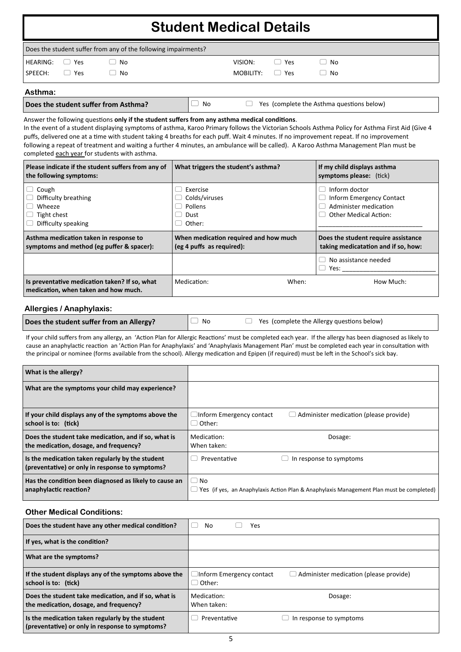|            |               |                                                                | <b>Student Medical Details</b> |                 |          |  |
|------------|---------------|----------------------------------------------------------------|--------------------------------|-----------------|----------|--|
|            |               | Does the student suffer from any of the following impairments? |                                |                 |          |  |
| HEARING:   | Yes<br>$\Box$ | No                                                             | VISION:                        | $\Box$ Yes      | No<br>Γ. |  |
| $S$ PFFCH: | $\Box$ Yes    | No                                                             | MOBILITY:                      | Yes<br>$\left($ | No       |  |

### **Asthma:**

| Does the student suffer from Asthma? |  |  |
|--------------------------------------|--|--|

**D** No **Poes** (complete the Asthma questions below)

Answer the following questions **only if the student suffers from any asthma medical conditions**. In the event of a student displaying symptoms of asthma, Karoo Primary follows the Victorian Schools Asthma Policy for Asthma First Aid (Give 4 puffs, delivered one at a time with student taking 4 breaths for each puff. Wait 4 minutes. If no improvement repeat. If no improvement

following a repeat of treatment and waiting a further 4 minutes, an ambulance will be called). A Karoo Asthma Management Plan must be completed each year for students with asthma.

| Please indicate if the student suffers from any of<br>the following symptoms:                             | What triggers the student's asthma?                                | If my child displays asthma<br>symptoms please: (tick)                                                    |
|-----------------------------------------------------------------------------------------------------------|--------------------------------------------------------------------|-----------------------------------------------------------------------------------------------------------|
| $\Box$ Cough<br>$\Box$ Difficulty breathing<br>$\Box$ Wheeze<br>Tight chest<br>$\Box$ Difficulty speaking | Exercise<br>Colds/viruses<br>Pollens<br>Dust<br>Other:             | Inform doctor<br><b>Inform Emergency Contact</b><br>Administer medication<br><b>Other Medical Action:</b> |
|                                                                                                           |                                                                    |                                                                                                           |
| Asthma medication taken in response to<br>symptoms and method (eg puffer & spacer):                       | When medication required and how much<br>(eg 4 puffs as required): | Does the student require assistance<br>taking medicatation and if so, how:                                |
|                                                                                                           |                                                                    | No assistance needed<br>Yes:<br>U                                                                         |

### **Allergies / Anaphylaxis:**

| Does the student suffer from an Allergy? | $\mathsf{I}\cup\mathsf{No}$ | $\Box$ Yes (complete the Allergy questions below) |
|------------------------------------------|-----------------------------|---------------------------------------------------|
|------------------------------------------|-----------------------------|---------------------------------------------------|

If your child suffers from any allergy, an 'Action Plan for Allergic Reactions' must be completed each year. If the allergy has been diagnosed as likely to cause an anaphylactic reaction an 'Action Plan for Anaphylaxis' and 'Anaphylaxis Management Plan' must be completed each year in consultation with the principal or nominee (forms available from the school). Allergy medication and Epipen (if required) must be left in the School's sick bay.

| What is the allergy?                                                                                |                                                                                                       |  |
|-----------------------------------------------------------------------------------------------------|-------------------------------------------------------------------------------------------------------|--|
| What are the symptoms your child may experience?                                                    |                                                                                                       |  |
| If your child displays any of the symptoms above the<br>school is to: (tick)                        | Inform Emergency contact<br>$\Box$ Administer medication (please provide)<br>Other:                   |  |
| Does the student take medication, and if so, what is<br>the medication, dosage, and frequency?      | Medication:<br>Dosage:<br>When taken:                                                                 |  |
| Is the medication taken regularly by the student<br>(preventative) or only in response to symptoms? | Preventative<br>In response to symptoms                                                               |  |
| Has the condition been diagnosed as likely to cause an<br>anaphylactic reaction?                    | $\Box$ No<br>Yes (if yes, an Anaphylaxis Action Plan & Anaphylaxis Management Plan must be completed) |  |

### **Other Medical Conditions:**

| Does the student have any other medical condition?                                                  | No<br>Yes                                     |                                               |
|-----------------------------------------------------------------------------------------------------|-----------------------------------------------|-----------------------------------------------|
| If yes, what is the condition?                                                                      |                                               |                                               |
| What are the symptoms?                                                                              |                                               |                                               |
| If the student displays any of the symptoms above the<br>school is to: (tick)                       | $\Box$ Inform Emergency contact<br>d Other: ا | $\Box$ Administer medication (please provide) |
| Does the student take medication, and if so, what is<br>the medication, dosage, and frequency?      | Medication:<br>When taken:                    | Dosage:                                       |
| Is the medication taken regularly by the student<br>(preventative) or only in response to symptoms? | Preventative                                  | In response to symptoms                       |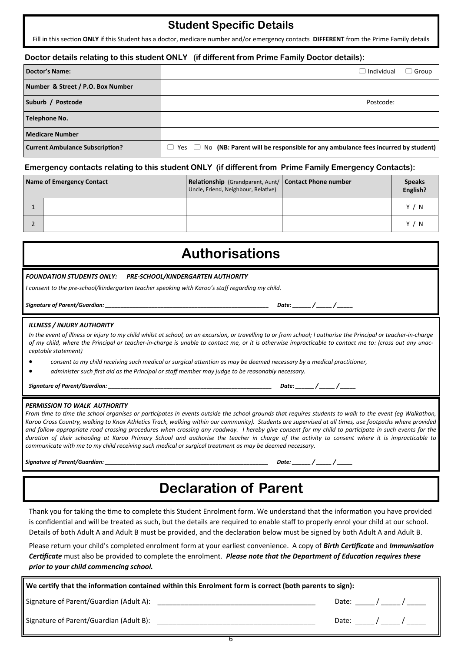### **Student Specific Details**

Fill in this section **ONLY** if this Student has a doctor, medicare number and/or emergency contacts **DIFFERENT** from the Prime Family details

### **Doctor details relating to this student ONLY (if different from Prime Family Doctor details):**

| Doctor's Name:                         | $\Box$ Individual<br>Group                                                                       |  |  |
|----------------------------------------|--------------------------------------------------------------------------------------------------|--|--|
| Number & Street / P.O. Box Number      |                                                                                                  |  |  |
| Suburb / Postcode                      | Postcode:                                                                                        |  |  |
| Telephone No.                          |                                                                                                  |  |  |
| <b>Medicare Number</b>                 |                                                                                                  |  |  |
| <b>Current Ambulance Subscription?</b> | $\Box$ Yes $\Box$ No (NB: Parent will be responsible for any ambulance fees incurred by student) |  |  |

### **Emergency contacts relating to this student ONLY (if different from Prime Family Emergency Contacts):**

| Name of Emergency Contact | Relationship (Grandparent, Aunt/   Contact Phone number<br>Uncle, Friend, Neighbour, Relative) | <b>Speaks</b><br>English? |
|---------------------------|------------------------------------------------------------------------------------------------|---------------------------|
|                           |                                                                                                | Y / N                     |
|                           |                                                                                                | Y /<br>- N                |

# **Authorisations**

#### *FOUNDATION STUDENTS ONLY: PRE-SCHOOL/KINDERGARTEN AUTHORITY*

*I consent to the pre-school/kindergarten teacher speaking with Karoo's staff regarding my child.*

*Signature of Parent/Guardian: \_\_\_\_\_\_\_\_\_\_\_\_\_\_\_\_\_\_\_\_\_\_\_\_\_\_\_\_\_\_\_\_\_\_\_\_\_\_\_\_\_\_\_\_\_\_\_\_\_\_\_\_\_ Date: \_\_\_\_\_\_ / \_\_\_\_\_ / \_\_\_\_\_*

#### *ILLNESS / INJURY AUTHORITY*

*In the event of illness or injury to my child whilst at school, on an excursion, or travelling to or from school; I authorise the Principal or teacher-in-charge of my child, where the Principal or teacher-in-charge is unable to contact me, or it is otherwise impracticable to contact me to: (cross out any unacceptable statement)* 

• *consent to my child receiving such medical or surgical attention as may be deemed necessary by a medical practitioner,*

• *administer such first aid as the Principal or staff member may judge to be reasonably necessary.*

*Signature of Parent/Guardian: \_\_\_\_\_\_\_\_\_\_\_\_\_\_\_\_\_\_\_\_\_\_\_\_\_\_\_\_\_\_\_\_\_\_\_\_\_\_\_\_\_\_\_\_\_\_\_\_\_\_\_\_\_ Date: \_\_\_\_\_\_ / \_\_\_\_\_ / \_\_\_\_\_*

#### *PERMISSION TO WALK AUTHORITY*

*From time to time the school organises or participates in events outside the school grounds that requires students to walk to the event (eg Walkathon, Karoo Cross Country, walking to Knox Athletics Track, walking within our community). Students are supervised at all times, use footpaths where provided and follow appropriate road crossing procedures when crossing any roadway. I hereby give consent for my child to participate in such events for the duration of their schooling at Karoo Primary School and authorise the teacher in charge of the activity to consent where it is impracticable to communicate with me to my child receiving such medical or surgical treatment as may be deemed necessary.*

*Signature of Parent/Guardian: \_\_\_\_\_\_\_\_\_\_\_\_\_\_\_\_\_\_\_\_\_\_\_\_\_\_\_\_\_\_\_\_\_\_\_\_\_\_\_\_\_\_\_\_\_\_\_\_\_\_\_\_\_ Date: \_\_\_\_\_\_ / \_\_\_\_\_ / \_\_\_\_\_*

# **Declaration of Parent**

Thank you for taking the time to complete this Student Enrolment form. We understand that the information you have provided is confidential and will be treated as such, but the details are required to enable staff to properly enrol your child at our school. Details of both Adult A and Adult B must be provided, and the declaration below must be signed by both Adult A and Adult B.

Please return your child's completed enrolment form at your earliest convenience. A copy of *Birth Certificate* and *Immunisation Certificate* must also be provided to complete the enrolment. *Please note that the Department of Education requires these prior to your child commencing school.* 

| We certify that the information contained within this Enrolment form is correct (both parents to sign): |                                                                                                      |  |  |                                |
|---------------------------------------------------------------------------------------------------------|------------------------------------------------------------------------------------------------------|--|--|--------------------------------|
|                                                                                                         |                                                                                                      |  |  | Date: ______/ ______/ _______  |
|                                                                                                         | Signature of Parent/Guardian (Adult B): Name of the Second Seconds and Seconds Seconds Seconds and S |  |  | Date: _______/ ______/ _______ |

6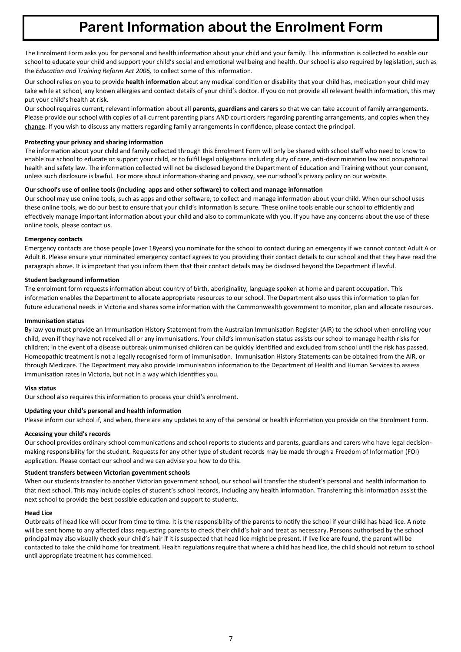## **Parent Information about the Enrolment Form**

The Enrolment Form asks you for personal and health information about your child and your family. This information is collected to enable our school to educate your child and support your child's social and emotional wellbeing and health. Our school is also required by legislation, such as the *Education and Training Reform Act 2006,* to collect some of this information.

Our school relies on you to provide **health information** about any medical condition or disability that your child has, medication your child may take while at school, any known allergies and contact details of your child's doctor. If you do not provide all relevant health information, this may put your child's health at risk.

Our school requires current, relevant information about all **parents, guardians and carers** so that we can take account of family arrangements. Please provide our school with copies of all current parenting plans AND court orders regarding parenting arrangements, and copies when they change. If you wish to discuss any matters regarding family arrangements in confidence, please contact the principal.

### **Protecting your privacy and sharing information**

The information about your child and family collected through this Enrolment Form will only be shared with school staff who need to know to enable our school to educate or support your child, or to fulfil legal obligations including duty of care, anti-discrimination law and occupational health and safety law. The information collected will not be disclosed beyond the Department of Education and Training without your consent, unless such disclosure is lawful. For more about information-sharing and privacy, see our school's privacy policy on our website.

### **Our school's use of online tools (including apps and other software) to collect and manage information**

Our school may use online tools, such as apps and other software, to collect and manage information about your child. When our school uses these online tools, we do our best to ensure that your child's information is secure. These online tools enable our school to efficiently and effectively manage important information about your child and also to communicate with you. If you have any concerns about the use of these online tools, please contact us.

### **Emergency contacts**

Emergency contacts are those people (over 18years) you nominate for the school to contact during an emergency if we cannot contact Adult A or Adult B. Please ensure your nominated emergency contact agrees to you providing their contact details to our school and that they have read the paragraph above. It is important that you inform them that their contact details may be disclosed beyond the Department if lawful.

### **Student background information**

The enrolment form requests information about country of birth, aboriginality, language spoken at home and parent occupation. This information enables the Department to allocate appropriate resources to our school. The Department also uses this information to plan for future educational needs in Victoria and shares some information with the Commonwealth government to monitor, plan and allocate resources.

### **Immunisation status**

By law you must provide an Immunisation History Statement from the Australian Immunisation Register (AIR) to the school when enrolling your child, even if they have not received all or any immunisations. Your child's immunisation status assists our school to manage health risks for children; in the event of a disease outbreak unimmunised children can be quickly identified and excluded from school until the risk has passed. Homeopathic treatment is not a legally recognised form of immunisation. Immunisation History Statements can be obtained from the AIR, or through Medicare. The Department may also provide immunisation information to the Department of Health and Human Services to assess immunisation rates in Victoria, but not in a way which identifies you.

### **Visa status**

Our school also requires this information to process your child's enrolment.

### **Updating your child's personal and health information**

Please inform our school if, and when, there are any updates to any of the personal or health information you provide on the Enrolment Form.

### **Accessing your child's records**

Our school provides ordinary school communications and school reports to students and parents, guardians and carers who have legal decisionmaking responsibility for the student. Requests for any other type of student records may be made through a Freedom of Information (FOI) application. Please contact our school and we can advise you how to do this.

### **Student transfers between Victorian government schools**

When our students transfer to another Victorian government school, our school will transfer the student's personal and health information to that next school. This may include copies of student's school records, including any health information. Transferring this information assist the next school to provide the best possible education and support to students.

### **Head Lice**

Outbreaks of head lice will occur from time to time. It is the responsibility of the parents to notify the school if your child has head lice. A note will be sent home to any affected class requesting parents to check their child's hair and treat as necessary. Persons authorised by the school principal may also visually check your child's hair if it is suspected that head lice might be present. If live lice are found, the parent will be contacted to take the child home for treatment. Health regulations require that where a child has head lice, the child should not return to school until appropriate treatment has commenced.